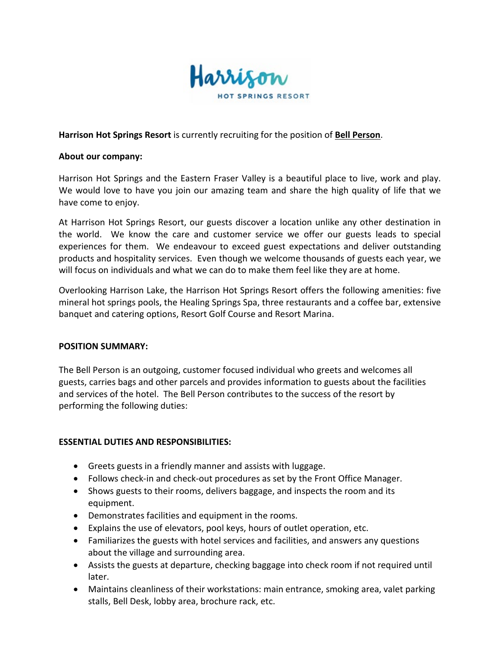

**Harrison Hot Springs Resort** is currently recruiting for the position of **Bell Person**.

## **About our company:**

Harrison Hot Springs and the Eastern Fraser Valley is a beautiful place to live, work and play. We would love to have you join our amazing team and share the high quality of life that we have come to enjoy.

At Harrison Hot Springs Resort, our guests discover a location unlike any other destination in the world. We know the care and customer service we offer our guests leads to special experiences for them. We endeavour to exceed guest expectations and deliver outstanding products and hospitality services. Even though we welcome thousands of guests each year, we will focus on individuals and what we can do to make them feel like they are at home.

Overlooking Harrison Lake, the Harrison Hot Springs Resort offers the following amenities: five mineral hot springs pools, the Healing Springs Spa, three restaurants and a coffee bar, extensive banquet and catering options, Resort Golf Course and Resort Marina.

## **POSITION SUMMARY:**

The Bell Person is an outgoing, customer focused individual who greets and welcomes all guests, carries bags and other parcels and provides information to guests about the facilities and services of the hotel. The Bell Person contributes to the success of the resort by performing the following duties:

## **ESSENTIAL DUTIES AND RESPONSIBILITIES:**

- Greets guests in a friendly manner and assists with luggage.
- Follows check-in and check-out procedures as set by the Front Office Manager.
- Shows guests to their rooms, delivers baggage, and inspects the room and its equipment.
- Demonstrates facilities and equipment in the rooms.
- Explains the use of elevators, pool keys, hours of outlet operation, etc.
- Familiarizes the guests with hotel services and facilities, and answers any questions about the village and surrounding area.
- Assists the guests at departure, checking baggage into check room if not required until later.
- Maintains cleanliness of their workstations: main entrance, smoking area, valet parking stalls, Bell Desk, lobby area, brochure rack, etc.